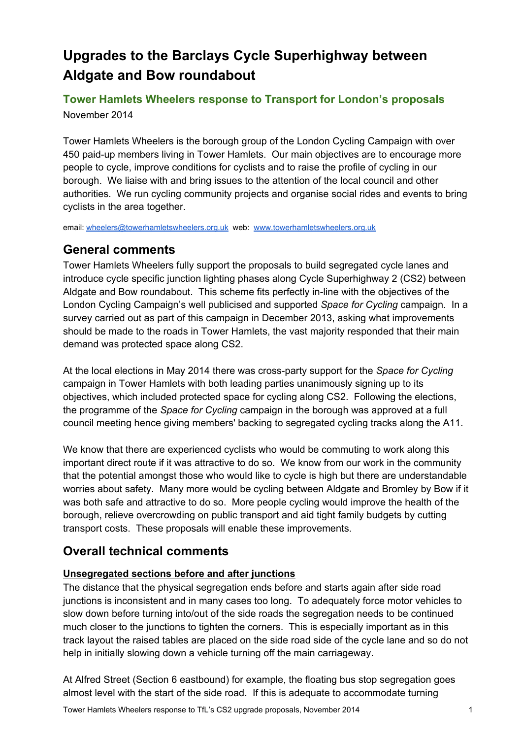# **Upgrades to the Barclays Cycle Superhighway between Aldgate and Bow roundabout**

## **Tower Hamlets Wheelers response to Transport for London's proposals** November 2014

Tower Hamlets Wheelers is the borough group of the London Cycling Campaign with over 450 paid-up members living in Tower Hamlets. Our main objectives are to encourage more people to cycle, improve conditions for cyclists and to raise the profile of cycling in our borough. We liaise with and bring issues to the attention of the local council and other authorities. We run cycling community projects and organise social rides and events to bring cyclists in the area together.

email: [wheelers@towerhamletswheelers.org.uk](mailto:wheelers@towerhamletswheelers.org.uk) web: [www.towerhamletswheelers.org.uk](http://www.google.com/url?q=http%3A%2F%2Fwww.towerhamletswheelers.org.uk&sa=D&sntz=1&usg=AFQjCNH7n0cwbPESuWzCqLRj3KtuprqYSg)

## **General comments**

Tower Hamlets Wheelers fully support the proposals to build segregated cycle lanes and introduce cycle specific junction lighting phases along Cycle Superhighway 2 (CS2) between Aldgate and Bow roundabout. This scheme fits perfectly in-line with the objectives of the London Cycling Campaign's well publicised and supported *Space for Cycling* campaign. In a survey carried out as part of this campaign in December 2013, asking what improvements should be made to the roads in Tower Hamlets, the vast majority responded that their main demand was protected space along CS2.

At the local elections in May 2014 there was crossparty support for the *Space for Cycling* campaign in Tower Hamlets with both leading parties unanimously signing up to its objectives, which included protected space for cycling along CS2. Following the elections, the programme of the *Space for Cycling* campaign in the borough was approved at a full council meeting hence giving members' backing to segregated cycling tracks along the A11.

We know that there are experienced cyclists who would be commuting to work along this important direct route if it was attractive to do so. We know from our work in the community that the potential amongst those who would like to cycle is high but there are understandable worries about safety. Many more would be cycling between Aldgate and Bromley by Bow if it was both safe and attractive to do so. More people cycling would improve the health of the borough, relieve overcrowding on public transport and aid tight family budgets by cutting transport costs. These proposals will enable these improvements.

## **Overall technical comments**

## **Unsegregated sections before and after junctions**

The distance that the physical segregation ends before and starts again after side road junctions is inconsistent and in many cases too long. To adequately force motor vehicles to slow down before turning into/out of the side roads the segregation needs to be continued much closer to the junctions to tighten the corners. This is especially important as in this track layout the raised tables are placed on the side road side of the cycle lane and so do not help in initially slowing down a vehicle turning off the main carriageway.

At Alfred Street (Section 6 eastbound) for example, the floating bus stop segregation goes almost level with the start of the side road. If this is adequate to accommodate turning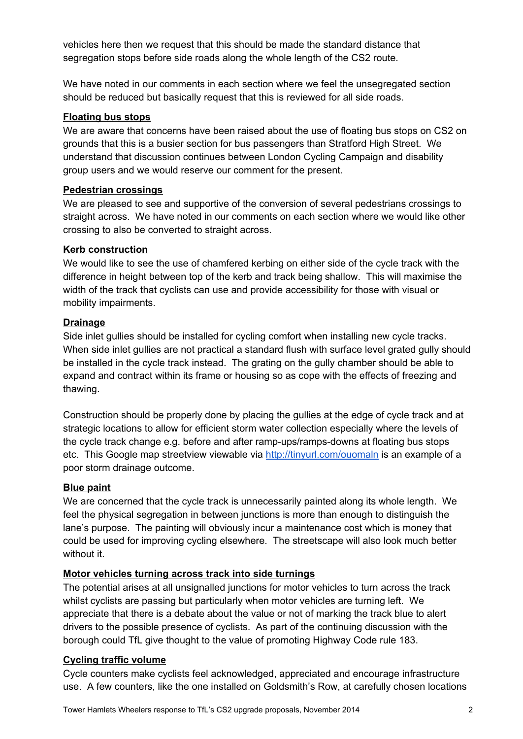vehicles here then we request that this should be made the standard distance that segregation stops before side roads along the whole length of the CS2 route.

We have noted in our comments in each section where we feel the unsegregated section should be reduced but basically request that this is reviewed for all side roads.

### **Floating bus stops**

We are aware that concerns have been raised about the use of floating bus stops on CS2 on grounds that this is a busier section for bus passengers than Stratford High Street. We understand that discussion continues between London Cycling Campaign and disability group users and we would reserve our comment for the present.

#### **Pedestrian crossings**

We are pleased to see and supportive of the conversion of several pedestrians crossings to straight across. We have noted in our comments on each section where we would like other crossing to also be converted to straight across.

#### **Kerb construction**

We would like to see the use of chamfered kerbing on either side of the cycle track with the difference in height between top of the kerb and track being shallow. This will maximise the width of the track that cyclists can use and provide accessibility for those with visual or mobility impairments.

#### **Drainage**

Side inlet gullies should be installed for cycling comfort when installing new cycle tracks. When side inlet gullies are not practical a standard flush with surface level grated gully should be installed in the cycle track instead. The grating on the gully chamber should be able to expand and contract within its frame or housing so as cope with the effects of freezing and thawing.

Construction should be properly done by placing the gullies at the edge of cycle track and at strategic locations to allow for efficient storm water collection especially where the levels of the cycle track change e.g. before and after ramp-ups/ramps-downs at floating bus stops etc. This Google map streetview viewable via [http://tinyurl.com/ouomaln](http://www.google.com/url?q=http%3A%2F%2Ftinyurl.com%2Fouomaln&sa=D&sntz=1&usg=AFQjCNEirJsV1FYGjr1w56tdZooLHKNwdw) is an example of a poor storm drainage outcome.

## **Blue paint**

We are concerned that the cycle track is unnecessarily painted along its whole length. We feel the physical segregation in between junctions is more than enough to distinguish the lane's purpose. The painting will obviously incur a maintenance cost which is money that could be used for improving cycling elsewhere. The streetscape will also look much better without it.

## **Motor vehicles turning across track into side turnings**

The potential arises at all unsignalled junctions for motor vehicles to turn across the track whilst cyclists are passing but particularly when motor vehicles are turning left. We appreciate that there is a debate about the value or not of marking the track blue to alert drivers to the possible presence of cyclists. As part of the continuing discussion with the borough could TfL give thought to the value of promoting Highway Code rule 183.

## **Cycling traffic volume**

Cycle counters make cyclists feel acknowledged, appreciated and encourage infrastructure use. A few counters, like the one installed on Goldsmith's Row, at carefully chosen locations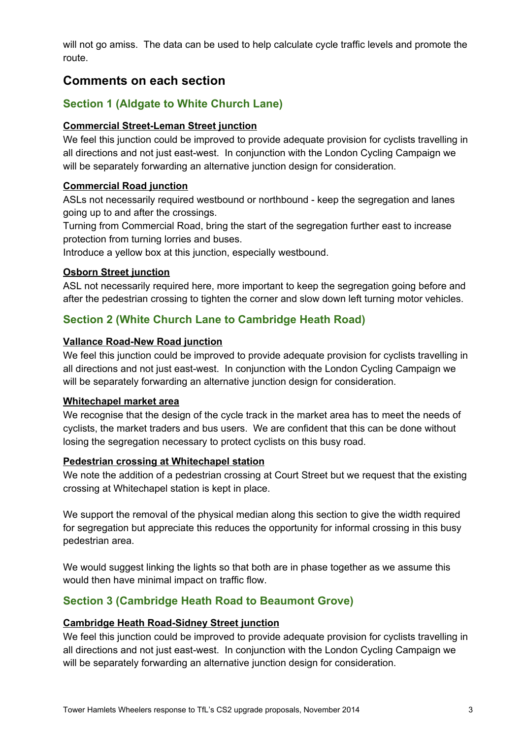will not go amiss. The data can be used to help calculate cycle traffic levels and promote the route.

## **Comments on each section**

## **Section 1 (Aldgate to White Church Lane)**

## **Commercial Street-Leman Street junction**

We feel this junction could be improved to provide adequate provision for cyclists travelling in all directions and not just east-west. In conjunction with the London Cycling Campaign we will be separately forwarding an alternative junction design for consideration.

## **Commercial Road junction**

ASLs not necessarily required westbound or northbound - keep the segregation and lanes going up to and after the crossings.

Turning from Commercial Road, bring the start of the segregation further east to increase protection from turning lorries and buses.

Introduce a yellow box at this junction, especially westbound.

## **Osborn Street junction**

ASL not necessarily required here, more important to keep the segregation going before and after the pedestrian crossing to tighten the corner and slow down left turning motor vehicles.

## **Section 2 (White Church Lane to Cambridge Heath Road)**

## **Vallance Road-New Road junction**

We feel this junction could be improved to provide adequate provision for cyclists travelling in all directions and not just east-west. In conjunction with the London Cycling Campaign we will be separately forwarding an alternative junction design for consideration.

#### **Whitechapel market area**

We recognise that the design of the cycle track in the market area has to meet the needs of cyclists, the market traders and bus users. We are confident that this can be done without losing the segregation necessary to protect cyclists on this busy road.

#### **Pedestrian crossing at Whitechapel station**

We note the addition of a pedestrian crossing at Court Street but we request that the existing crossing at Whitechapel station is kept in place.

We support the removal of the physical median along this section to give the width required for segregation but appreciate this reduces the opportunity for informal crossing in this busy pedestrian area.

We would suggest linking the lights so that both are in phase together as we assume this would then have minimal impact on traffic flow.

## **Section 3 (Cambridge Heath Road to Beaumont Grove)**

## **Cambridge Heath Road-Sidney Street junction**

We feel this junction could be improved to provide adequate provision for cyclists travelling in all directions and not just east-west. In conjunction with the London Cycling Campaign we will be separately forwarding an alternative junction design for consideration.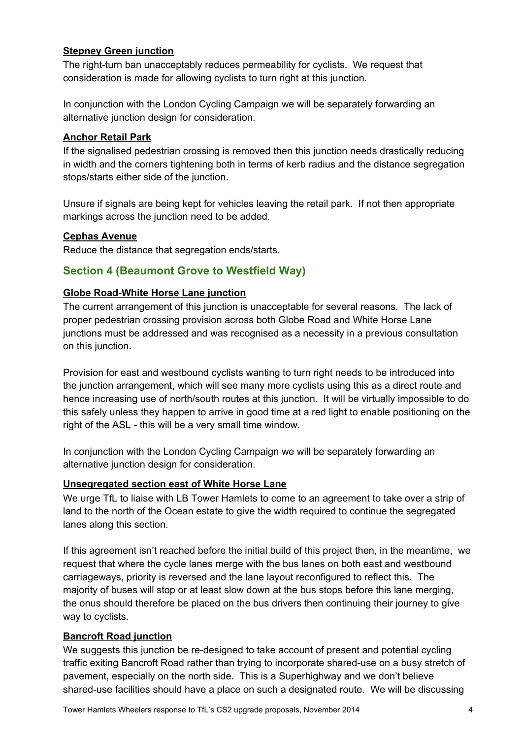## **Stepney Green junction**

The right-turn ban unacceptably reduces permeability for cyclists. We request that consideration is made for allowing cyclists to turn right at this junction.

In conjunction with the London Cycling Campaign we will be separately forwarding an alternative junction design for consideration.

#### **Anchor Retail Park**

If the signalised pedestrian crossing is removed then this junction needs drastically reducing in width and the corners tightening both in terms of kerb radius and the distance segregation stops/starts either side of the junction.

Unsure if signals are being kept for vehicles leaving the retail park. If not then appropriate markings across the junction need to be added.

#### **Cephas Avenue**

Reduce the distance that segregation ends/starts.

## **Section 4 (Beaumont Grove to Westfield Way)**

#### **Globe RoadWhite Horse Lane junction**

The current arrangement of this junction is unacceptable for several reasons. The lack of proper pedestrian crossing provision across both Globe Road and White Horse Lane junctions must be addressed and was recognised as a necessity in a previous consultation on this junction.

Provision for east and westbound cyclists wanting to turn right needs to be introduced into the junction arrangement, which will see many more cyclists using this as a direct route and hence increasing use of north/south routes at this junction. It will be virtually impossible to do this safely unless they happen to arrive in good time at a red light to enable positioning on the right of the ASL - this will be a very small time window.

In conjunction with the London Cycling Campaign we will be separately forwarding an alternative junction design for consideration.

#### **Unsegregated section east of White Horse Lane**

We urge TfL to liaise with LB Tower Hamlets to come to an agreement to take over a strip of land to the north of the Ocean estate to give the width required to continue the segregated lanes along this section.

If this agreement isn't reached before the initial build of this project then, in the meantime, we request that where the cycle lanes merge with the bus lanes on both east and westbound carriageways, priority is reversed and the lane layout reconfigured to reflect this. The majority of buses will stop or at least slow down at the bus stops before this lane merging, the onus should therefore be placed on the bus drivers then continuing their journey to give way to cyclists.

#### **Bancroft Road junction**

We suggests this junction be re-designed to take account of present and potential cycling traffic exiting Bancroft Road rather than trying to incorporate shared-use on a busy stretch of pavement, especially on the north side. This is a Superhighway and we don't believe shared-use facilities should have a place on such a designated route. We will be discussing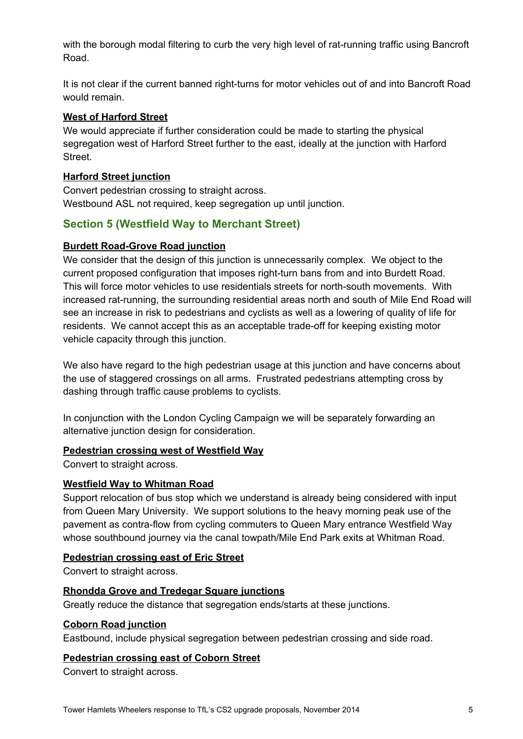with the borough modal filtering to curb the very high level of rat-running traffic using Bancroft Road.

It is not clear if the current banned right-turns for motor vehicles out of and into Bancroft Road would remain.

#### **West of Harford Street**

We would appreciate if further consideration could be made to starting the physical segregation west of Harford Street further to the east, ideally at the junction with Harford Street.

### **Harford Street junction**

Convert pedestrian crossing to straight across. Westbound ASL not required, keep segregation up until junction.

## **Section 5 (Westfield Way to Merchant Street)**

#### **Burdett Road-Grove Road junction**

We consider that the design of this junction is unnecessarily complex. We object to the current proposed configuration that imposes right-turn bans from and into Burdett Road. This will force motor vehicles to use residentials streets for north-south movements. With increased rat-running, the surrounding residential areas north and south of Mile End Road will see an increase in risk to pedestrians and cyclists as well as a lowering of quality of life for residents. We cannot accept this as an acceptable trade-off for keeping existing motor vehicle capacity through this junction.

We also have regard to the high pedestrian usage at this junction and have concerns about the use of staggered crossings on all arms. Frustrated pedestrians attempting cross by dashing through traffic cause problems to cyclists.

In conjunction with the London Cycling Campaign we will be separately forwarding an alternative junction design for consideration.

#### **Pedestrian crossing west of Westfield Way**

Convert to straight across.

#### **Westfield Way to Whitman Road**

Support relocation of bus stop which we understand is already being considered with input from Queen Mary University. We support solutions to the heavy morning peak use of the pavement as contra-flow from cycling commuters to Queen Mary entrance Westfield Way whose southbound journey via the canal towpath/Mile End Park exits at Whitman Road.

#### **Pedestrian crossing east of Eric Street**

Convert to straight across.

#### **Rhondda Grove and Tredegar Square junctions**

Greatly reduce the distance that segregation ends/starts at these junctions.

#### **Coborn Road junction**

Eastbound, include physical segregation between pedestrian crossing and side road.

#### **Pedestrian crossing east of Coborn Street**

Convert to straight across.